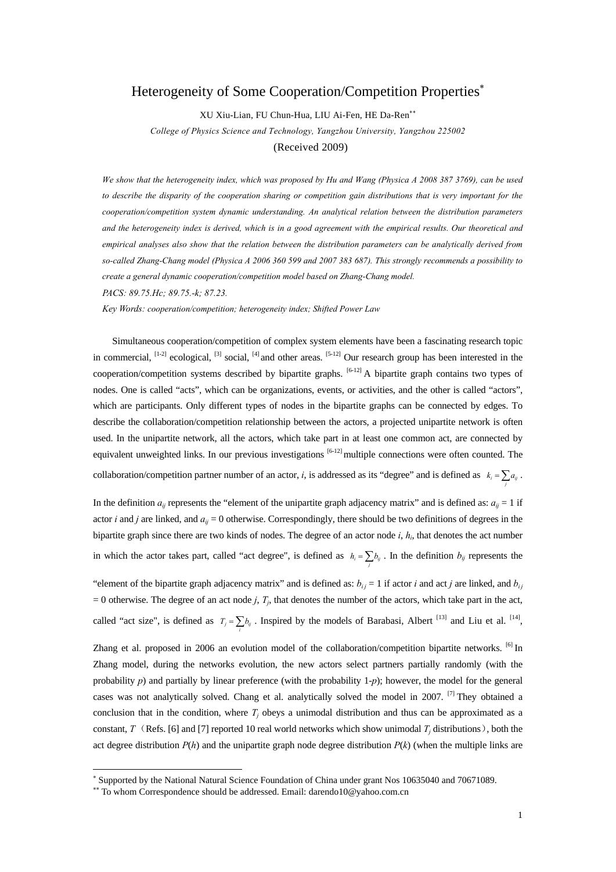## Heterogeneity of Some Cooperation/Competition Properties<sup>∗</sup>

XU Xiu-Lian, FU Chun-Hua, LIU Ai-Fen, HE Da-Ren∗∗

*College of Physics Science and Technology, Yangzhou University, Yangzhou 225002*  (Received 2009)

*We show that the heterogeneity index, which was proposed by Hu and Wang (Physica A 2008 387 3769), can be used*  to describe the disparity of the cooperation sharing or competition gain distributions that is very important for the *cooperation/competition system dynamic understanding. An analytical relation between the distribution parameters and the heterogeneity index is derived, which is in a good agreement with the empirical results. Our theoretical and empirical analyses also show that the relation between the distribution parameters can be analytically derived from so-called Zhang-Chang model (Physica A 2006 360 599 and 2007 383 687). This strongly recommends a possibility to create a general dynamic cooperation/competition model based on Zhang-Chang model. PACS: 89.75.Hc; 89.75.-k; 87.23.* 

*Key Words: cooperation/competition; heterogeneity index; Shifted Power Law*

Simultaneous cooperation/competition of complex system elements have been a fascinating research topic in commercial,  $^{[1-2]}$  ecological,  $^{[3]}$  social,  $^{[4]}$  and other areas.  $^{[5-12]}$  Our research group has been interested in the cooperation/competition systems described by bipartite graphs.  $[6-12]$  A bipartite graph contains two types of nodes. One is called "acts", which can be organizations, events, or activities, and the other is called "actors", which are participants. Only different types of nodes in the bipartite graphs can be connected by edges. To describe the collaboration/competition relationship between the actors, a projected unipartite network is often used. In the unipartite network, all the actors, which take part in at least one common act, are connected by equivalent unweighted links. In our previous investigations  $[6-12]$  multiple connections were often counted. The collaboration/competition partner number of an actor, *i*, is addressed as its "degree" and is defined as  $k_i = \sum a_{ij}$ .

In the definition  $a_{ij}$  represents the "element of the unipartite graph adjacency matrix" and is defined as:  $a_{ij} = 1$  if actor *i* and *j* are linked, and  $a_{ij} = 0$  otherwise. Correspondingly, there should be two definitions of degrees in the bipartite graph since there are two kinds of nodes. The degree of an actor node  $i$ ,  $h_i$ , that denotes the act number in which the actor takes part, called "act degree", is defined as  $h_i = \sum_j b_{ij}$ . In the definition  $b_{ij}$  represents the

"element of the bipartite graph adjacency matrix" and is defined as:  $b_{ij} = 1$  if actor *i* and act *j* are linked, and  $b_{ij}$  $= 0$  otherwise. The degree of an act node *j*,  $T_j$ , that denotes the number of the actors, which take part in the act, called "act size", is defined as  $T_j = \sum_i b_{ij}$ . Inspired by the models of Barabasi, Albert <sup>[13]</sup> and Liu et al. <sup>[14]</sup>,

Zhang et al. proposed in 2006 an evolution model of the collaboration/competition bipartite networks. <sup>[6]</sup> In Zhang model, during the networks evolution, the new actors select partners partially randomly (with the probability *p*) and partially by linear preference (with the probability 1-*p*); however, the model for the general cases was not analytically solved. Chang et al. analytically solved the model in 2007. <sup>[7]</sup> They obtained a conclusion that in the condition, where  $T_i$  obeys a unimodal distribution and thus can be approximated as a constant, *T* (Refs. [6] and [7] reported 10 real world networks which show unimodal  $T_i$  distributions), both the act degree distribution  $P(h)$  and the unipartite graph node degree distribution  $P(k)$  (when the multiple links are

-

*j*

<sup>∗</sup> Supported by the National Natural Science Foundation of China under grant Nos 10635040 and 70671089.

<sup>∗∗</sup> To whom Correspondence should be addressed. Email: darendo10@yahoo.com.cn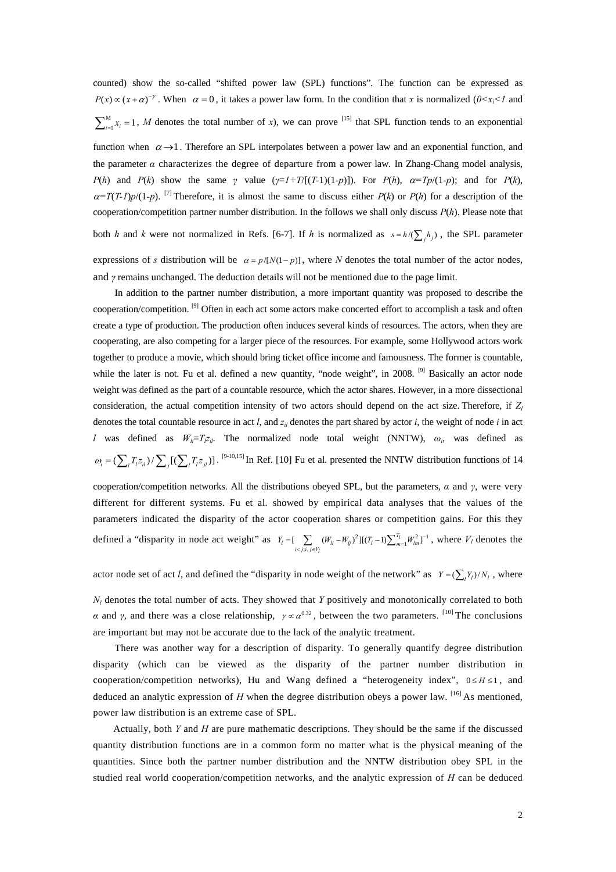counted) show the so-called "shifted power law (SPL) functions". The function can be expressed as  $P(x) \propto (x + \alpha)^{-\gamma}$ . When  $\alpha = 0$ , it takes a power law form. In the condition that *x* is normalized ( $0 \le x_i \le 1$  and  $\sum_{i=1}^{M} x_i = 1$ , *M* denotes the total number of *x*), we can prove <sup>[15]</sup> that SPL function tends to an exponential

function when  $\alpha \rightarrow 1$ . Therefore an SPL interpolates between a power law and an exponential function, and the parameter *α* characterizes the degree of departure from a power law. In Zhang-Chang model analysis, *P*(*h*) and *P*(*k*) show the same *γ* value ( $\gamma = 1 + T/(T-1)(1-p)$ ). For *P*(*h*),  $\alpha = Tp/(1-p)$ ; and for *P*(*k*),  $\alpha = T(T-1)p/(1-p)$ . <sup>[7]</sup> Therefore, it is almost the same to discuss either *P*(*k*) or *P*(*h*) for a description of the cooperation/competition partner number distribution. In the follows we shall only discuss *P*(*h*). Please note that both *h* and *k* were not normalized in Refs. [6-7]. If *h* is normalized as  $s = h / (\sum_j h_j)$ , the SPL parameter expressions of *s* distribution will be  $\alpha = p/[N(1-p)]$ , where *N* denotes the total number of the actor nodes, and *γ* remains unchanged. The deduction details will not be mentioned due to the page limit.

In addition to the partner number distribution, a more important quantity was proposed to describe the cooperation/competition. [9] Often in each act some actors make concerted effort to accomplish a task and often create a type of production. The production often induces several kinds of resources. The actors, when they are cooperating, are also competing for a larger piece of the resources. For example, some Hollywood actors work together to produce a movie, which should bring ticket office income and famousness. The former is countable, while the later is not. Fu et al. defined a new quantity, "node weight", in 2008. <sup>[9]</sup> Basically an actor node weight was defined as the part of a countable resource, which the actor shares. However, in a more dissectional consideration, the actual competition intensity of two actors should depend on the act size. Therefore, if *Zl* denotes the total countable resource in act *l*, and *zil* denotes the part shared by actor *i*, the weight of node *i* in act *l* was defined as  $W_{li}=T_{l}z_{il}$ . The normalized node total weight (NNTW),  $\omega_i$ , was defined as  $\omega_i = (\sum_i T_i z_i)/(\sum_i T_i z_j)$ . <sup>[9-10,15]</sup> In Ref. [10] Fu et al. presented the NNTW distribution functions of 14

cooperation/competition networks. All the distributions obeyed SPL, but the parameters, *α* and *γ*, were very different for different systems. Fu et al. showed by empirical data analyses that the values of the parameters indicated the disparity of the actor cooperation shares or competition gains. For this they defined a "disparity in node act weight" as  $Y_l = \left[ \sum_{i < j : i, j \in V_l} (W_{li} - W_{lj})^2 \right] [(T_l - 1) \sum_{m=1}^{T_l} W_{lm}^2]^{-1}$ *l*  $Y_l = \left[ \sum_{i < j : i, j \in V_l} (W_{li} - W_{lj})^2 \right] [(T_l - 1) \sum_{m=1}^{T_l} W_{lm}^2]^{-1}$ , where  $V_l$  denotes the

actor node set of act *l*, and defined the "disparity in node weight of the network" as  $Y = (\sum_l Y_l)/N_l$ , where

 $N_l$  denotes the total number of acts. They showed that *Y* positively and monotonically correlated to both *α* and *γ*, and there was a close relationship,  $\gamma \propto \alpha^{0.32}$ , between the two parameters. <sup>[10]</sup> The conclusions are important but may not be accurate due to the lack of the analytic treatment.

There was another way for a description of disparity. To generally quantify degree distribution disparity (which can be viewed as the disparity of the partner number distribution in cooperation/competition networks), Hu and Wang defined a "heterogeneity index",  $0 \leq H \leq 1$ , and deduced an analytic expression of *H* when the degree distribution obeys a power law. <sup>[16]</sup> As mentioned, power law distribution is an extreme case of SPL.

Actually, both *Y* and *H* are pure mathematic descriptions. They should be the same if the discussed quantity distribution functions are in a common form no matter what is the physical meaning of the quantities. Since both the partner number distribution and the NNTW distribution obey SPL in the studied real world cooperation/competition networks, and the analytic expression of *H* can be deduced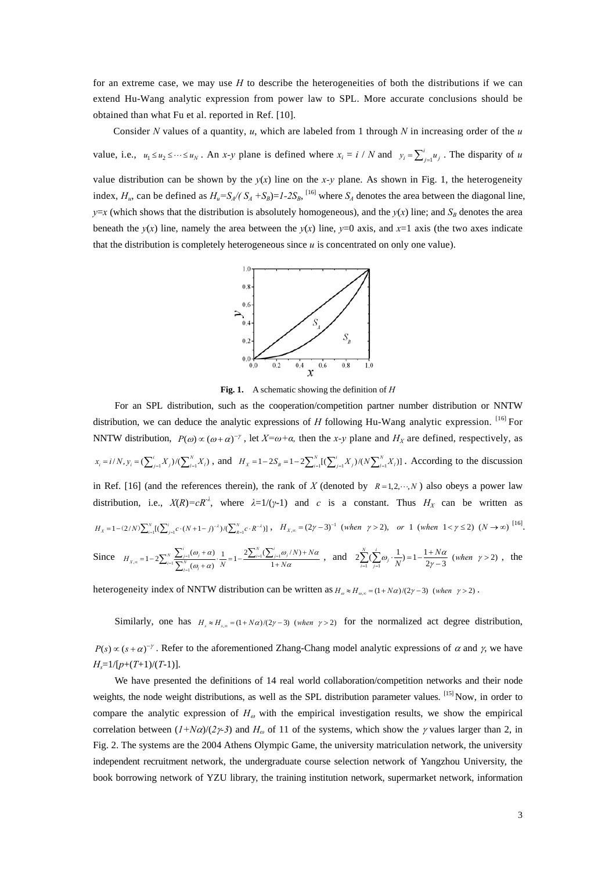for an extreme case, we may use *H* to describe the heterogeneities of both the distributions if we can extend Hu-Wang analytic expression from power law to SPL. More accurate conclusions should be obtained than what Fu et al. reported in Ref. [10].

Consider *N* values of a quantity, *u*, which are labeled from 1 through *N* in increasing order of the *u* value, i.e.,  $u_1 \le u_2 \le \dots \le u_N$ . An *x*-*y* plane is defined where  $x_i = i / N$  and  $y_i = \sum_{j=1}^i u_j$ . The disparity of *u* 

value distribution can be shown by the  $y(x)$  line on the *x*-*y* plane. As shown in Fig. 1, the heterogeneity index,  $H_u$ , can be defined as  $H_u = S_A/(S_A + S_B) = I - 2S_B$ , <sup>[16]</sup> where  $S_A$  denotes the area between the diagonal line, *y*=*x* (which shows that the distribution is absolutely homogeneous), and the *y*(*x*) line; and *S<sub>B</sub>* denotes the area beneath the  $y(x)$  line, namely the area between the  $y(x)$  line,  $y=0$  axis, and  $x=1$  axis (the two axes indicate that the distribution is completely heterogeneous since *u* is concentrated on only one value).



**Fig. 1.** A schematic showing the definition of *H*

 For an SPL distribution, such as the cooperation/competition partner number distribution or NNTW distribution, we can deduce the analytic expressions of *H* following Hu-Wang analytic expression. <sup>[16]</sup> For NNTW distribution,  $P(\omega) \propto (\omega + \alpha)^{-\gamma}$ , let  $X = \omega + \alpha$ , then the *x*-*y* plane and  $H_X$  are defined, respectively, as  $x_i = i/N$ ,  $y_i = (\sum_{j=1}^i X_j)/(\sum_{l=1}^N X_l)$ , and  $H_x = 1 - 2S_B = 1 - 2\sum_{i=1}^N [(\sum_{j=1}^i X_j)/(N\sum_{l=1}^N X_l)]$ . According to the discussion in Ref. [16] (and the references therein), the rank of *X* (denoted by  $R = 1, 2, \dots, N$ ) also obeys a power law distribution, i.e.,  $X(R) = cR^{\lambda}$ , where  $\lambda = 1/(\gamma-1)$  and *c* is a constant. Thus  $H_X$  can be written as  $H_X = 1 - (2/N) \sum_{i=1}^{N} [(\sum_{j=1}^{i} c \cdot (N+1-j)^{-\lambda}) / (\sum_{R=1}^{N} c \cdot R^{-\lambda})]$ ,  $H_{X,\infty} = (2\gamma - 3)^{-1}$  (when  $\gamma > 2$ ), or 1 (when  $1 < \gamma \le 2$ )  $(N \to \infty)$  <sup>[16]</sup>. Since  $H_{X,\infty} = 1-2\sum_{i=1}^{N} \frac{\sum_{j=1}^{N}(\omega_j + \alpha_j)}{\sum_{i=1}^{N}(\omega_i + \alpha_j)} \cdot \frac{1}{N} = 1-\frac{2\sum_{i=1}^{N}(\sum_{j=1}^{N}(\omega_j + \alpha_j))}{1+\alpha_j}$  $1-2\sum_{i=1}^N\frac{\sum_{j=1}^n(\omega_j+\alpha)}{\sum_{i=1}^N(\omega_i+\alpha)}\cdot\frac{1}{N}=1-\frac{2\sum_{i=1}^N(\sum_{j=1}^n\omega_j/N)}{1+N\alpha}$  $X_{i} = 1 - 2\sum_{i=1}^{N} \frac{\sum_{j=1}^{i} (\omega_{j} + \alpha)}{\sum_{i=1}^{N} (\omega_{i} + \alpha)} \cdot \frac{1}{N} = 1 - \frac{2\sum_{i=1}^{N} (\sum_{j=1}^{i} \omega_{j})}{1 + N}$  $H_{X,\infty} = 1 - 2 \sum_{i=1}^{N} \frac{\sum_{j=1}^{i} (\omega_j + \alpha)}{\sum_{i=1}^{N} (\omega_i + \alpha)} \cdot \frac{1}{N} = 1 - \frac{2 \sum_{i=1}^{N} (\sum_{j=1}^{i} \omega_j / N) + N}{1 + N\alpha}$  $\omega + \alpha$  i 2  $\lambda$  (  $\lambda$   $\omega$  /N  $\lambda$  + N  $\alpha$  $\omega + \alpha$ ) N  $1 + N\alpha$  $\alpha_{\infty} = 1 - 2 \sum_{i=1}^{N} \frac{\sum_{j=1}^{i} (\omega_j + \alpha)}{\sum_{j=1}^{N} (\omega_j + \alpha)} \cdot \frac{1}{N} = 1 - \frac{2 \sum_{i=1}^{N} (\sum_{j=1}^{i} \omega_j / N) + N\alpha}{1 + N\alpha}$ , and  $2 \sum_{i=1}^{N} (\sum_{j=1}^{i} \omega_j \cdot \frac{1}{N}) = 1 - \frac{1 + N\alpha}{2\gamma - 3}$  (when  $\gamma > 2$ )  $\sum_{i=1}^{N} (\sum_{j=1}^{i} \omega_j \cdot \frac{1}{N}) = 1 - \frac{1 + N\alpha}{2\gamma - 3}$  (when  $\sum_{i=1}^{N} (\sum_{j=1}^{i} \omega_j \cdot \frac{1}{N}) = 1 - \frac{1 + N\alpha}{2\gamma - 3}$  (when  $\gamma > 2$ ), the

heterogeneity index of NNTW distribution can be written as  $H_{\omega} \approx H_{\omega} = (1 + N\alpha)/(2\gamma - 3)$  (when  $\gamma > 2$ ).

Similarly, one has  $H_{\varepsilon} \approx H_{\varepsilon} = (1 + N\alpha)/(2\gamma - 3)$  (when  $\gamma > 2$ ) for the normalized act degree distribution,  $P(s) \propto (s + \alpha)^{-\gamma}$ . Refer to the aforementioned Zhang-Chang model analytic expressions of  $\alpha$  and  $\gamma$ , we have *Hs*=1/[*p*+(*T*+1)/(*T*-1)].

We have presented the definitions of 14 real world collaboration/competition networks and their node weights, the node weight distributions, as well as the SPL distribution parameter values. [15] Now, in order to compare the analytic expression of  $H_{\omega}$  with the empirical investigation results, we show the empirical correlation between  $(I+N\alpha)/(2\gamma-3)$  and  $H_\omega$  of 11 of the systems, which show the  $\gamma$  values larger than 2, in Fig. 2. The systems are the 2004 Athens Olympic Game, the university matriculation network, the university independent recruitment network, the undergraduate course selection network of Yangzhou University, the book borrowing network of YZU library, the training institution network, supermarket network, information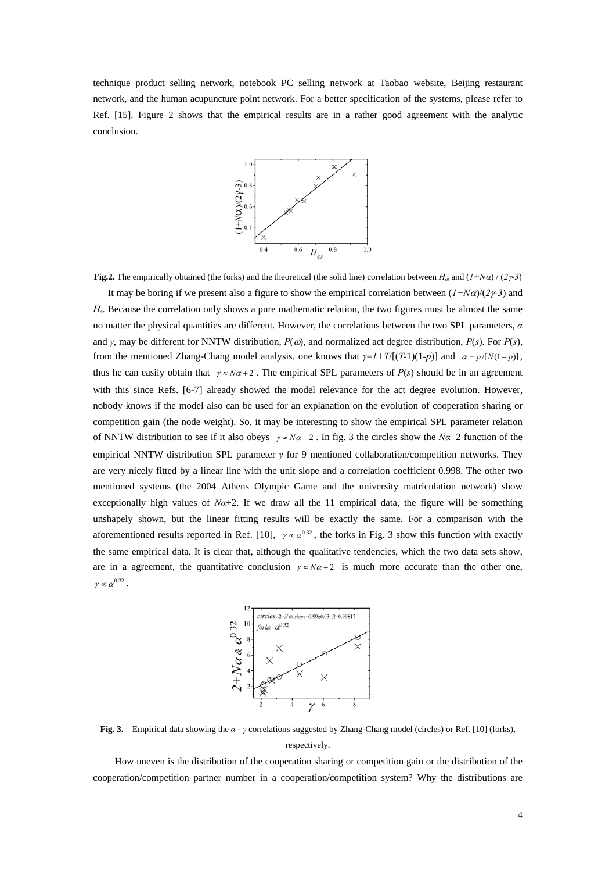technique product selling network, notebook PC selling network at Taobao website, Beijing restaurant network, and the human acupuncture point network. For a better specification of the systems, please refer to Ref. [15]. Figure 2 shows that the empirical results are in a rather good agreement with the analytic conclusion.



**Fig.2.** The empirically obtained (the forks) and the theoretical (the solid line) correlation between  $H_\omega$  and  $(I + N\alpha) / (2\gamma^2)$ 

It may be boring if we present also a figure to show the empirical correlation between (*1+N*α)/(*2*γ*-3*) and *H<sub>s</sub>*. Because the correlation only shows a pure mathematic relation, the two figures must be almost the same no matter the physical quantities are different. However, the correlations between the two SPL parameters, *α* and *γ*, may be different for NNTW distribution, *P*(ω), and normalized act degree distribution, *P*(*s*). For *P*(*s*), from the mentioned Zhang-Chang model analysis, one knows that  $\gamma = I + T/[(T-1)(1-p)]$  and  $\alpha = p/[N(1-p)]$ , thus he can easily obtain that  $\gamma \approx N\alpha + 2$ . The empirical SPL parameters of  $P(s)$  should be in an agreement with this since Refs. [6-7] already showed the model relevance for the act degree evolution. However, nobody knows if the model also can be used for an explanation on the evolution of cooperation sharing or competition gain (the node weight). So, it may be interesting to show the empirical SPL parameter relation of NNTW distribution to see if it also obeys  $\gamma \approx N\alpha + 2$ . In fig. 3 the circles show the  $N\alpha + 2$  function of the empirical NNTW distribution SPL parameter *γ* for 9 mentioned collaboration/competition networks. They are very nicely fitted by a linear line with the unit slope and a correlation coefficient 0.998. The other two mentioned systems (the 2004 Athens Olympic Game and the university matriculation network) show exceptionally high values of  $N\alpha+2$ . If we draw all the 11 empirical data, the figure will be something unshapely shown, but the linear fitting results will be exactly the same. For a comparison with the aforementioned results reported in Ref. [10],  $\gamma \propto \alpha^{0.32}$ , the forks in Fig. 3 show this function with exactly the same empirical data. It is clear that, although the qualitative tendencies, which the two data sets show, are in a agreement, the quantitative conclusion  $\gamma \approx N\alpha + 2$  is much more accurate than the other one,  $\gamma\propto \alpha^{0.32}$  .



**Fig. 3.** Empirical data showing the *α* - *γ* correlations suggested by Zhang-Chang model (circles) or Ref. [10] (forks), respectively.

How uneven is the distribution of the cooperation sharing or competition gain or the distribution of the cooperation/competition partner number in a cooperation/competition system? Why the distributions are